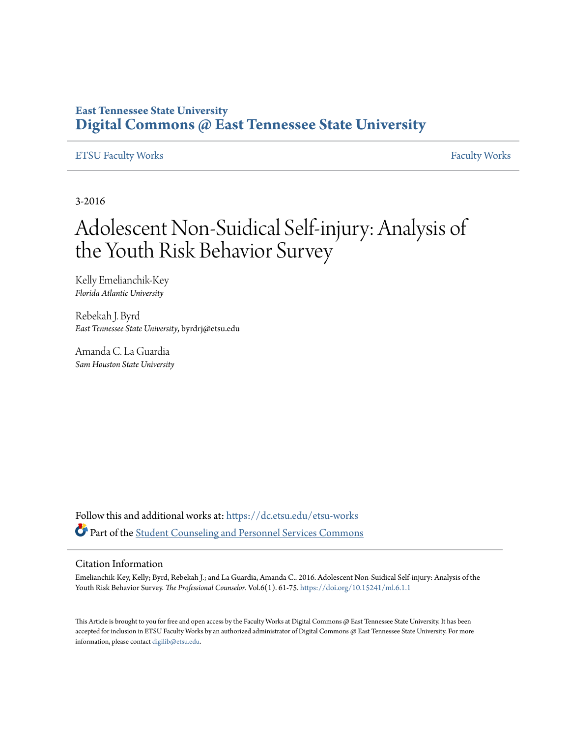## **East Tennessee State University [Digital Commons @ East Tennessee State University](https://dc.etsu.edu?utm_source=dc.etsu.edu%2Fetsu-works%2F892&utm_medium=PDF&utm_campaign=PDFCoverPages)**

#### [ETSU Faculty Works](https://dc.etsu.edu/etsu-works?utm_source=dc.etsu.edu%2Fetsu-works%2F892&utm_medium=PDF&utm_campaign=PDFCoverPages) [Faculty Works](https://dc.etsu.edu/faculty-works?utm_source=dc.etsu.edu%2Fetsu-works%2F892&utm_medium=PDF&utm_campaign=PDFCoverPages) Faculty Works

3-2016

## Adolescent Non-Suidical Self-injury: Analysis of the Youth Risk Behavior Survey

Kelly Emelianchik-Key *Florida Atlantic University*

Rebekah J. Byrd *East Tennessee State University*, byrdrj@etsu.edu

Amanda C. La Guardia *Sam Houston State University*

Follow this and additional works at: [https://dc.etsu.edu/etsu-works](https://dc.etsu.edu/etsu-works?utm_source=dc.etsu.edu%2Fetsu-works%2F892&utm_medium=PDF&utm_campaign=PDFCoverPages) Part of the [Student Counseling and Personnel Services Commons](http://network.bepress.com/hgg/discipline/802?utm_source=dc.etsu.edu%2Fetsu-works%2F892&utm_medium=PDF&utm_campaign=PDFCoverPages)

#### Citation Information

Emelianchik-Key, Kelly; Byrd, Rebekah J.; and La Guardia, Amanda C.. 2016. Adolescent Non-Suidical Self-injury: Analysis of the Youth Risk Behavior Survey. *The Professional Counselor*. Vol.6(1). 61-75. <https://doi.org/10.15241/ml.6.1.1>

This Article is brought to you for free and open access by the Faculty Works at Digital Commons @ East Tennessee State University. It has been accepted for inclusion in ETSU Faculty Works by an authorized administrator of Digital Commons @ East Tennessee State University. For more information, please contact [digilib@etsu.edu.](mailto:digilib@etsu.edu)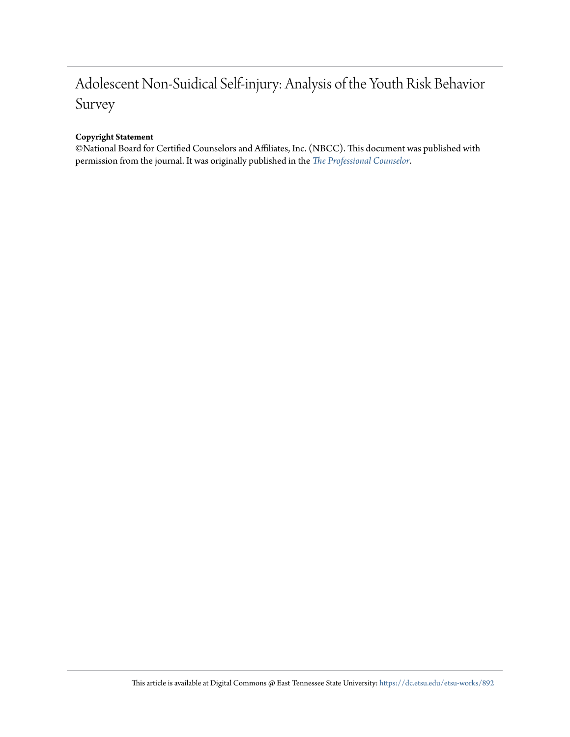## Adolescent Non-Suidical Self-injury: Analysis of the Youth Risk Behavior Survey

#### **Copyright Statement**

©National Board for Certified Counselors and Affiliates, Inc. (NBCC). This document was published with permission from the journal. It was originally published in the *[The Professional Counselor](http://tpcjournal.nbcc.org/category/pdf-articles/volumes/volume-6/volume-6-issue-1/)*.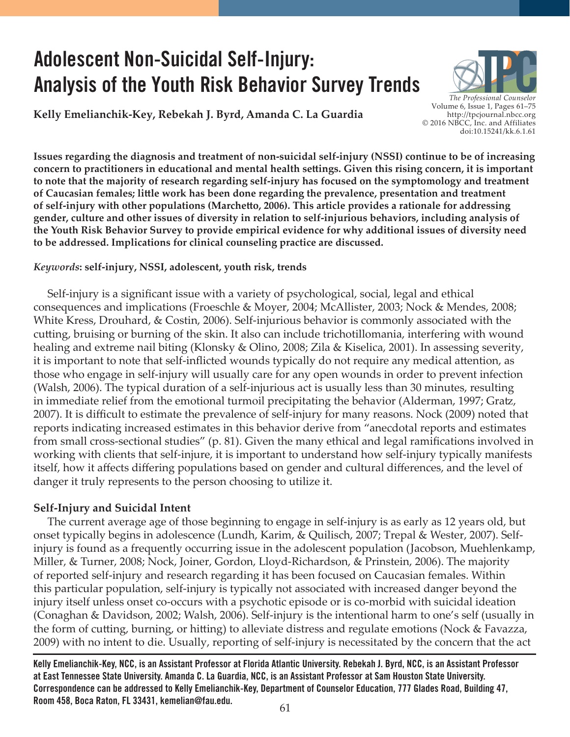# **Adolescent Non-Suicidal Self-Injury: Analysis of the Youth Risk Behavior Survey Trends**

**Kelly Emelianchik-Key, Rebekah J. Byrd, Amanda C. La Guardia**



**Issues regarding the diagnosis and treatment of non-suicidal self-injury (NSSI) continue to be of increasing concern to practitioners in educational and mental health settings. Given this rising concern, it is important to note that the majority of research regarding self-injury has focused on the symptomology and treatment of Caucasian females; little work has been done regarding the prevalence, presentation and treatment of self-injury with other populations (Marchetto, 2006). This article provides a rationale for addressing gender, culture and other issues of diversity in relation to self-injurious behaviors, including analysis of the Youth Risk Behavior Survey to provide empirical evidence for why additional issues of diversity need to be addressed. Implications for clinical counseling practice are discussed.**

#### *Keywords***: self-injury, NSSI, adolescent, youth risk, trends**

 Self-injury is a significant issue with a variety of psychological, social, legal and ethical consequences and implications (Froeschle & Moyer, 2004; McAllister, 2003; Nock & Mendes, 2008; White Kress, Drouhard, & Costin, 2006). Self-injurious behavior is commonly associated with the cutting, bruising or burning of the skin. It also can include trichotillomania, interfering with wound healing and extreme nail biting (Klonsky & Olino, 2008; Zila & Kiselica, 2001). In assessing severity, it is important to note that self-inflicted wounds typically do not require any medical attention, as those who engage in self-injury will usually care for any open wounds in order to prevent infection (Walsh, 2006). The typical duration of a self-injurious act is usually less than 30 minutes, resulting in immediate relief from the emotional turmoil precipitating the behavior (Alderman, 1997; Gratz, 2007). It is difficult to estimate the prevalence of self-injury for many reasons. Nock (2009) noted that reports indicating increased estimates in this behavior derive from "anecdotal reports and estimates from small cross-sectional studies" (p. 81). Given the many ethical and legal ramifications involved in working with clients that self-injure, it is important to understand how self-injury typically manifests itself, how it affects differing populations based on gender and cultural differences, and the level of danger it truly represents to the person choosing to utilize it.

## **Self-Injury and Suicidal Intent**

 The current average age of those beginning to engage in self-injury is as early as 12 years old, but onset typically begins in adolescence (Lundh, Karim, & Quilisch, 2007; Trepal & Wester, 2007). Selfinjury is found as a frequently occurring issue in the adolescent population (Jacobson, Muehlenkamp, Miller, & Turner, 2008; Nock, Joiner, Gordon, Lloyd-Richardson, & Prinstein, 2006). The majority of reported self-injury and research regarding it has been focused on Caucasian females. Within this particular population, self-injury is typically not associated with increased danger beyond the injury itself unless onset co-occurs with a psychotic episode or is co-morbid with suicidal ideation (Conaghan & Davidson, 2002; Walsh, 2006). Self-injury is the intentional harm to one's self (usually in the form of cutting, burning, or hitting) to alleviate distress and regulate emotions (Nock & Favazza, 2009) with no intent to die. Usually, reporting of self-injury is necessitated by the concern that the act

**Kelly Emelianchik-Key, NCC, is an Assistant Professor at Florida Atlantic University. Rebekah J. Byrd, NCC, is an Assistant Professor at East Tennessee State University. Amanda C. La Guardia, NCC, is an Assistant Professor at Sam Houston State University. Correspondence can be addressed to Kelly Emelianchik-Key, Department of Counselor Education, 777 Glades Road, Building 47, Room 458, Boca Raton, FL 33431, kemelian@fau.edu.**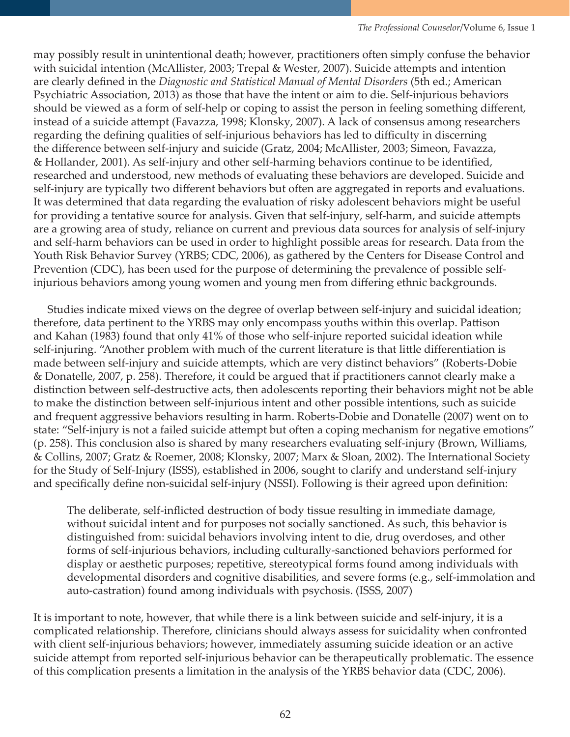may possibly result in unintentional death; however, practitioners often simply confuse the behavior with suicidal intention (McAllister, 2003; Trepal & Wester, 2007). Suicide attempts and intention are clearly defined in the *Diagnostic and Statistical Manual of Mental Disorders* (5th ed.; American Psychiatric Association, 2013) as those that have the intent or aim to die. Self-injurious behaviors should be viewed as a form of self-help or coping to assist the person in feeling something different, instead of a suicide attempt (Favazza, 1998; Klonsky, 2007). A lack of consensus among researchers regarding the defining qualities of self-injurious behaviors has led to difficulty in discerning the difference between self-injury and suicide (Gratz, 2004; McAllister, 2003; Simeon, Favazza, & Hollander, 2001). As self-injury and other self-harming behaviors continue to be identified, researched and understood, new methods of evaluating these behaviors are developed. Suicide and self-injury are typically two different behaviors but often are aggregated in reports and evaluations. It was determined that data regarding the evaluation of risky adolescent behaviors might be useful for providing a tentative source for analysis. Given that self-injury, self-harm, and suicide attempts are a growing area of study, reliance on current and previous data sources for analysis of self-injury and self-harm behaviors can be used in order to highlight possible areas for research. Data from the Youth Risk Behavior Survey (YRBS; CDC, 2006), as gathered by the Centers for Disease Control and Prevention (CDC), has been used for the purpose of determining the prevalence of possible selfinjurious behaviors among young women and young men from differing ethnic backgrounds.

 Studies indicate mixed views on the degree of overlap between self-injury and suicidal ideation; therefore, data pertinent to the YRBS may only encompass youths within this overlap. Pattison and Kahan (1983) found that only 41% of those who self-injure reported suicidal ideation while self-injuring. "Another problem with much of the current literature is that little differentiation is made between self-injury and suicide attempts, which are very distinct behaviors" (Roberts-Dobie & Donatelle, 2007, p. 258). Therefore, it could be argued that if practitioners cannot clearly make a distinction between self-destructive acts, then adolescents reporting their behaviors might not be able to make the distinction between self-injurious intent and other possible intentions, such as suicide and frequent aggressive behaviors resulting in harm. Roberts-Dobie and Donatelle (2007) went on to state: "Self-injury is not a failed suicide attempt but often a coping mechanism for negative emotions" (p. 258). This conclusion also is shared by many researchers evaluating self-injury (Brown, Williams, & Collins, 2007; Gratz & Roemer, 2008; Klonsky, 2007; Marx & Sloan, 2002). The International Society for the Study of Self-Injury (ISSS), established in 2006, sought to clarify and understand self-injury and specifically define non-suicidal self-injury (NSSI). Following is their agreed upon definition:

The deliberate, self-inflicted destruction of body tissue resulting in immediate damage, without suicidal intent and for purposes not socially sanctioned. As such, this behavior is distinguished from: suicidal behaviors involving intent to die, drug overdoses, and other forms of self-injurious behaviors, including culturally-sanctioned behaviors performed for display or aesthetic purposes; repetitive, stereotypical forms found among individuals with developmental disorders and cognitive disabilities, and severe forms (e.g., self-immolation and auto-castration) found among individuals with psychosis. (ISSS, 2007)

It is important to note, however, that while there is a link between suicide and self-injury, it is a complicated relationship. Therefore, clinicians should always assess for suicidality when confronted with client self-injurious behaviors; however, immediately assuming suicide ideation or an active suicide attempt from reported self-injurious behavior can be therapeutically problematic. The essence of this complication presents a limitation in the analysis of the YRBS behavior data (CDC, 2006).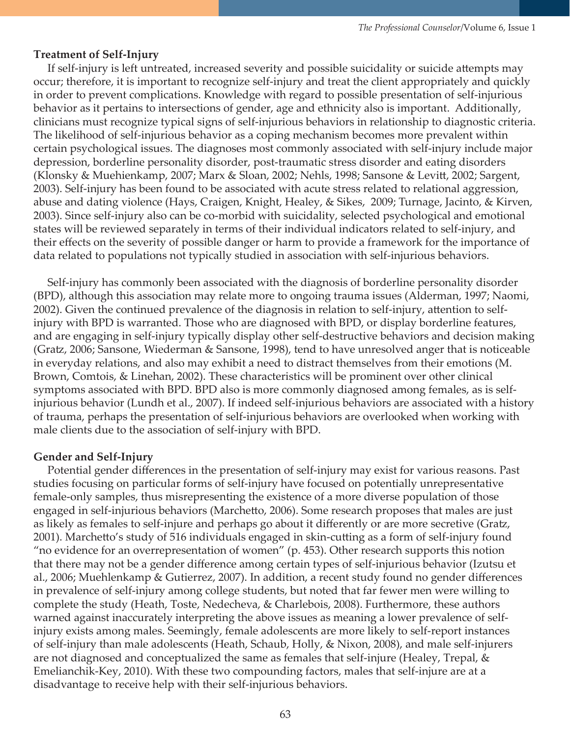#### **Treatment of Self-Injury**

 If self-injury is left untreated, increased severity and possible suicidality or suicide attempts may occur; therefore, it is important to recognize self-injury and treat the client appropriately and quickly in order to prevent complications. Knowledge with regard to possible presentation of self-injurious behavior as it pertains to intersections of gender, age and ethnicity also is important. Additionally, clinicians must recognize typical signs of self-injurious behaviors in relationship to diagnostic criteria. The likelihood of self-injurious behavior as a coping mechanism becomes more prevalent within certain psychological issues. The diagnoses most commonly associated with self-injury include major depression, borderline personality disorder, post-traumatic stress disorder and eating disorders (Klonsky & Muehienkamp, 2007; Marx & Sloan, 2002; Nehls, 1998; Sansone & Levitt, 2002; Sargent, 2003). Self-injury has been found to be associated with acute stress related to relational aggression, abuse and dating violence (Hays, Craigen, Knight, Healey, & Sikes, 2009; Turnage, Jacinto, & Kirven, 2003). Since self-injury also can be co-morbid with suicidality, selected psychological and emotional states will be reviewed separately in terms of their individual indicators related to self-injury, and their effects on the severity of possible danger or harm to provide a framework for the importance of data related to populations not typically studied in association with self-injurious behaviors.

 Self-injury has commonly been associated with the diagnosis of borderline personality disorder (BPD), although this association may relate more to ongoing trauma issues (Alderman, 1997; Naomi, 2002). Given the continued prevalence of the diagnosis in relation to self-injury, attention to selfinjury with BPD is warranted. Those who are diagnosed with BPD, or display borderline features, and are engaging in self-injury typically display other self-destructive behaviors and decision making (Gratz, 2006; Sansone, Wiederman & Sansone, 1998), tend to have unresolved anger that is noticeable in everyday relations, and also may exhibit a need to distract themselves from their emotions (M. Brown, Comtois, & Linehan, 2002). These characteristics will be prominent over other clinical symptoms associated with BPD. BPD also is more commonly diagnosed among females, as is selfinjurious behavior (Lundh et al., 2007). If indeed self-injurious behaviors are associated with a history of trauma, perhaps the presentation of self-injurious behaviors are overlooked when working with male clients due to the association of self-injury with BPD.

#### **Gender and Self-Injury**

 Potential gender differences in the presentation of self-injury may exist for various reasons. Past studies focusing on particular forms of self-injury have focused on potentially unrepresentative female-only samples, thus misrepresenting the existence of a more diverse population of those engaged in self-injurious behaviors (Marchetto, 2006). Some research proposes that males are just as likely as females to self-injure and perhaps go about it differently or are more secretive (Gratz, 2001). Marchetto's study of 516 individuals engaged in skin-cutting as a form of self-injury found "no evidence for an overrepresentation of women" (p. 453). Other research supports this notion that there may not be a gender difference among certain types of self-injurious behavior (Izutsu et al., 2006; Muehlenkamp & Gutierrez, 2007). In addition, a recent study found no gender differences in prevalence of self-injury among college students, but noted that far fewer men were willing to complete the study (Heath, Toste, Nedecheva, & Charlebois, 2008). Furthermore, these authors warned against inaccurately interpreting the above issues as meaning a lower prevalence of selfinjury exists among males. Seemingly, female adolescents are more likely to self-report instances of self-injury than male adolescents (Heath, Schaub, Holly, & Nixon, 2008), and male self-injurers are not diagnosed and conceptualized the same as females that self-injure (Healey, Trepal, & Emelianchik-Key, 2010). With these two compounding factors, males that self-injure are at a disadvantage to receive help with their self-injurious behaviors.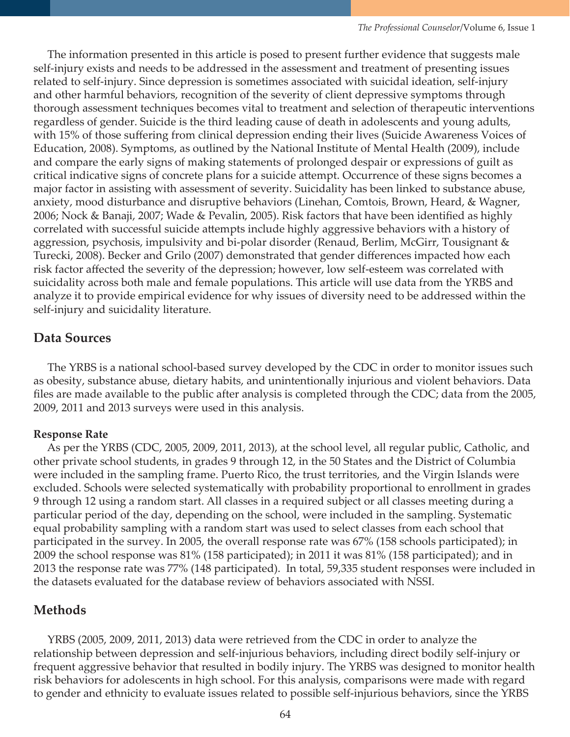The information presented in this article is posed to present further evidence that suggests male self-injury exists and needs to be addressed in the assessment and treatment of presenting issues related to self-injury. Since depression is sometimes associated with suicidal ideation, self-injury and other harmful behaviors, recognition of the severity of client depressive symptoms through thorough assessment techniques becomes vital to treatment and selection of therapeutic interventions regardless of gender. Suicide is the third leading cause of death in adolescents and young adults, with 15% of those suffering from clinical depression ending their lives (Suicide Awareness Voices of Education, 2008). Symptoms, as outlined by the National Institute of Mental Health (2009), include and compare the early signs of making statements of prolonged despair or expressions of guilt as critical indicative signs of concrete plans for a suicide attempt. Occurrence of these signs becomes a major factor in assisting with assessment of severity. Suicidality has been linked to substance abuse, anxiety, mood disturbance and disruptive behaviors (Linehan, Comtois, Brown, Heard, & Wagner, 2006; Nock & Banaji, 2007; Wade & Pevalin, 2005). Risk factors that have been identified as highly correlated with successful suicide attempts include highly aggressive behaviors with a history of aggression, psychosis, impulsivity and bi-polar disorder (Renaud, Berlim, McGirr, Tousignant & Turecki, 2008). Becker and Grilo (2007) demonstrated that gender differences impacted how each risk factor affected the severity of the depression; however, low self-esteem was correlated with suicidality across both male and female populations. This article will use data from the YRBS and analyze it to provide empirical evidence for why issues of diversity need to be addressed within the self-injury and suicidality literature.

## **Data Sources**

The YRBS is a national school-based survey developed by the CDC in order to monitor issues such as obesity, substance abuse, dietary habits, and unintentionally injurious and violent behaviors. Data files are made available to the public after analysis is completed through the CDC; data from the 2005, 2009, 2011 and 2013 surveys were used in this analysis.

## **Response Rate**

 As per the YRBS (CDC, 2005, 2009, 2011, 2013), at the school level, all regular public, Catholic, and other private school students, in grades 9 through 12, in the 50 States and the District of Columbia were included in the sampling frame. Puerto Rico, the trust territories, and the Virgin Islands were excluded. Schools were selected systematically with probability proportional to enrollment in grades 9 through 12 using a random start. All classes in a required subject or all classes meeting during a particular period of the day, depending on the school, were included in the sampling. Systematic equal probability sampling with a random start was used to select classes from each school that participated in the survey. In 2005, the overall response rate was 67% (158 schools participated); in 2009 the school response was 81% (158 participated); in 2011 it was 81% (158 participated); and in 2013 the response rate was 77% (148 participated). In total, 59,335 student responses were included in the datasets evaluated for the database review of behaviors associated with NSSI.

## **Methods**

 YRBS (2005, 2009, 2011, 2013) data were retrieved from the CDC in order to analyze the relationship between depression and self-injurious behaviors, including direct bodily self-injury or frequent aggressive behavior that resulted in bodily injury. The YRBS was designed to monitor health risk behaviors for adolescents in high school. For this analysis, comparisons were made with regard to gender and ethnicity to evaluate issues related to possible self-injurious behaviors, since the YRBS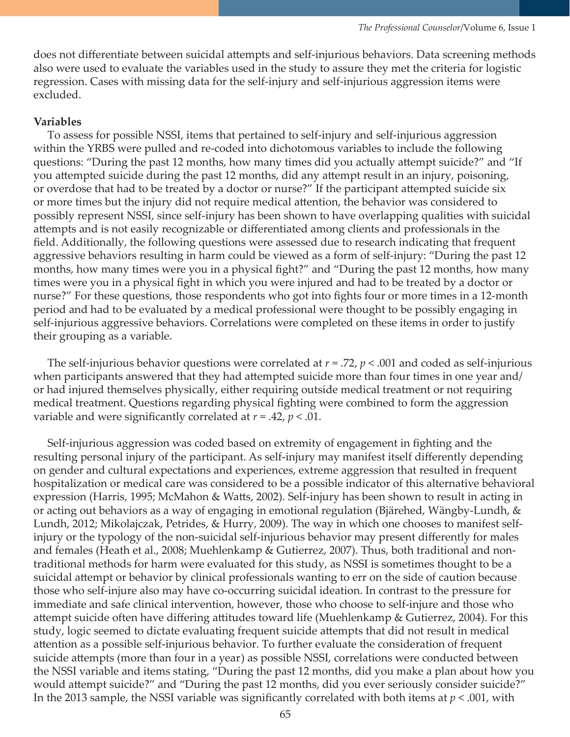does not differentiate between suicidal attempts and self-injurious behaviors. Data screening methods also were used to evaluate the variables used in the study to assure they met the criteria for logistic regression. Cases with missing data for the self-injury and self-injurious aggression items were excluded.

#### **Variables**

 To assess for possible NSSI, items that pertained to self-injury and self-injurious aggression within the YRBS were pulled and re-coded into dichotomous variables to include the following questions: "During the past 12 months, how many times did you actually attempt suicide?" and "If you attempted suicide during the past 12 months, did any attempt result in an injury, poisoning, or overdose that had to be treated by a doctor or nurse?" If the participant attempted suicide six or more times but the injury did not require medical attention, the behavior was considered to possibly represent NSSI, since self-injury has been shown to have overlapping qualities with suicidal attempts and is not easily recognizable or differentiated among clients and professionals in the field. Additionally, the following questions were assessed due to research indicating that frequent aggressive behaviors resulting in harm could be viewed as a form of self-injury: "During the past 12 months, how many times were you in a physical fight?" and "During the past 12 months, how many times were you in a physical fight in which you were injured and had to be treated by a doctor or nurse?" For these questions, those respondents who got into fights four or more times in a 12-month period and had to be evaluated by a medical professional were thought to be possibly engaging in self-injurious aggressive behaviors. Correlations were completed on these items in order to justify their grouping as a variable.

 The self-injurious behavior questions were correlated at *r* = .72, *p* < .001 and coded as self-injurious when participants answered that they had attempted suicide more than four times in one year and/ or had injured themselves physically, either requiring outside medical treatment or not requiring medical treatment. Questions regarding physical fighting were combined to form the aggression variable and were significantly correlated at *r* = .42, *p* < .01.

 Self-injurious aggression was coded based on extremity of engagement in fighting and the resulting personal injury of the participant. As self-injury may manifest itself differently depending on gender and cultural expectations and experiences, extreme aggression that resulted in frequent hospitalization or medical care was considered to be a possible indicator of this alternative behavioral expression (Harris, 1995; McMahon & Watts, 2002). Self-injury has been shown to result in acting in or acting out behaviors as a way of engaging in emotional regulation (Bjärehed, Wängby-Lundh, & Lundh, 2012; Mikolajczak, Petrides, & Hurry, 2009). The way in which one chooses to manifest selfinjury or the typology of the non-suicidal self-injurious behavior may present differently for males and females (Heath et al., 2008; Muehlenkamp & Gutierrez, 2007). Thus, both traditional and nontraditional methods for harm were evaluated for this study, as NSSI is sometimes thought to be a suicidal attempt or behavior by clinical professionals wanting to err on the side of caution because those who self-injure also may have co-occurring suicidal ideation. In contrast to the pressure for immediate and safe clinical intervention, however, those who choose to self-injure and those who attempt suicide often have differing attitudes toward life (Muehlenkamp & Gutierrez, 2004). For this study, logic seemed to dictate evaluating frequent suicide attempts that did not result in medical attention as a possible self-injurious behavior. To further evaluate the consideration of frequent suicide attempts (more than four in a year) as possible NSSI, correlations were conducted between the NSSI variable and items stating, "During the past 12 months, did you make a plan about how you would attempt suicide?" and "During the past 12 months, did you ever seriously consider suicide?" In the 2013 sample, the NSSI variable was significantly correlated with both items at *p* < .001, with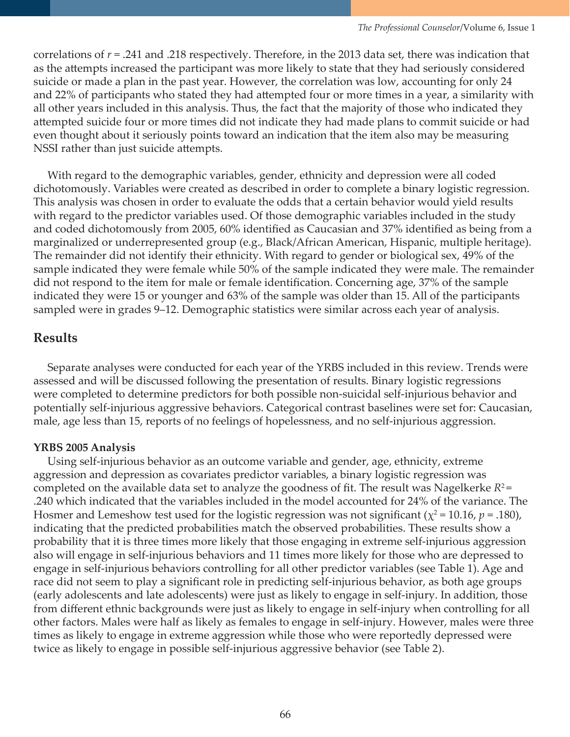correlations of *r* = .241 and .218 respectively. Therefore, in the 2013 data set, there was indication that as the attempts increased the participant was more likely to state that they had seriously considered suicide or made a plan in the past year. However, the correlation was low, accounting for only 24 and 22% of participants who stated they had attempted four or more times in a year, a similarity with all other years included in this analysis. Thus, the fact that the majority of those who indicated they attempted suicide four or more times did not indicate they had made plans to commit suicide or had even thought about it seriously points toward an indication that the item also may be measuring NSSI rather than just suicide attempts.

 With regard to the demographic variables, gender, ethnicity and depression were all coded dichotomously. Variables were created as described in order to complete a binary logistic regression. This analysis was chosen in order to evaluate the odds that a certain behavior would yield results with regard to the predictor variables used. Of those demographic variables included in the study and coded dichotomously from 2005, 60% identified as Caucasian and 37% identified as being from a marginalized or underrepresented group (e.g., Black/African American, Hispanic, multiple heritage). The remainder did not identify their ethnicity. With regard to gender or biological sex, 49% of the sample indicated they were female while 50% of the sample indicated they were male. The remainder did not respond to the item for male or female identification. Concerning age, 37% of the sample indicated they were 15 or younger and 63% of the sample was older than 15. All of the participants sampled were in grades 9–12. Demographic statistics were similar across each year of analysis.

## **Results**

Separate analyses were conducted for each year of the YRBS included in this review. Trends were assessed and will be discussed following the presentation of results. Binary logistic regressions were completed to determine predictors for both possible non-suicidal self-injurious behavior and potentially self-injurious aggressive behaviors. Categorical contrast baselines were set for: Caucasian, male, age less than 15, reports of no feelings of hopelessness, and no self-injurious aggression.

#### **YRBS 2005 Analysis**

 Using self-injurious behavior as an outcome variable and gender, age, ethnicity, extreme aggression and depression as covariates predictor variables, a binary logistic regression was completed on the available data set to analyze the goodness of fit. The result was Nagelkerke  $R^2$ = .240 which indicated that the variables included in the model accounted for 24% of the variance. The Hosmer and Lemeshow test used for the logistic regression was not significant ( $\chi^2$  = 10.16, *p* = .180), indicating that the predicted probabilities match the observed probabilities. These results show a probability that it is three times more likely that those engaging in extreme self-injurious aggression also will engage in self-injurious behaviors and 11 times more likely for those who are depressed to engage in self-injurious behaviors controlling for all other predictor variables (see Table 1). Age and race did not seem to play a significant role in predicting self-injurious behavior, as both age groups (early adolescents and late adolescents) were just as likely to engage in self-injury. In addition, those from different ethnic backgrounds were just as likely to engage in self-injury when controlling for all other factors. Males were half as likely as females to engage in self-injury. However, males were three times as likely to engage in extreme aggression while those who were reportedly depressed were twice as likely to engage in possible self-injurious aggressive behavior (see Table 2).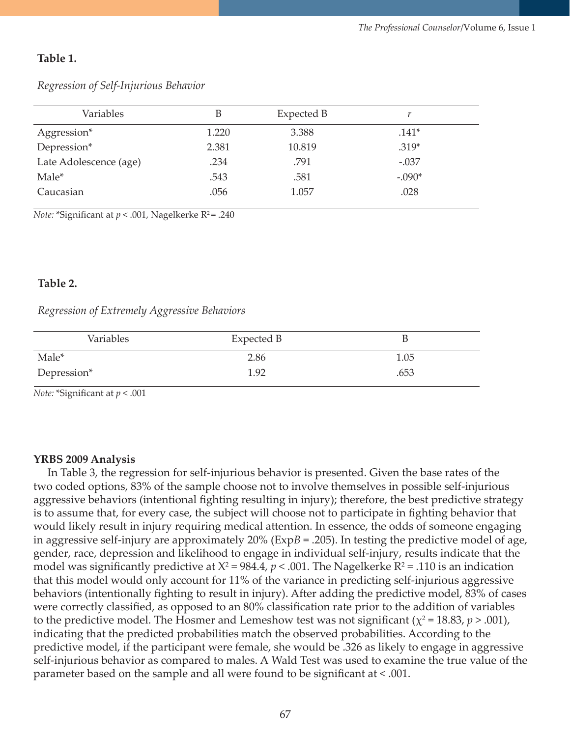#### **Table 1.**

| Variables              | B     | Expected B |          |
|------------------------|-------|------------|----------|
| Aggression*            | 1.220 | 3.388      | $.141*$  |
| Depression*            | 2.381 | 10.819     | $.319*$  |
| Late Adolescence (age) | .234  | .791       | $-.037$  |
| Male*                  | .543  | .581       | $-.090*$ |
| Caucasian              | .056  | 1.057      | .028     |

*Regression of Self-Injurious Behavior*

*Note:* \*Significant at  $p < .001$ , Nagelkerke  $R^2 = .240$ 

#### **Table 2.**

#### *Regression of Extremely Aggressive Behaviors*

| Variables   | Expected B |      |
|-------------|------------|------|
| Male*       | 2.86       | 1.05 |
| Depression* | 1.92       | .653 |

*Note:* \*Significant at *p* < .001

#### **YRBS 2009 Analysis**

In Table 3, the regression for self-injurious behavior is presented. Given the base rates of the two coded options, 83% of the sample choose not to involve themselves in possible self-injurious aggressive behaviors (intentional fighting resulting in injury); therefore, the best predictive strategy is to assume that, for every case, the subject will choose not to participate in fighting behavior that would likely result in injury requiring medical attention. In essence, the odds of someone engaging in aggressive self-injury are approximately 20% (Exp*B* = .205). In testing the predictive model of age, gender, race, depression and likelihood to engage in individual self-injury, results indicate that the model was significantly predictive at  $X^2 = 984.4$ ,  $p < .001$ . The Nagelkerke R<sup>2</sup> = .110 is an indication that this model would only account for 11% of the variance in predicting self-injurious aggressive behaviors (intentionally fighting to result in injury). After adding the predictive model, 83% of cases were correctly classified, as opposed to an 80% classification rate prior to the addition of variables to the predictive model. The Hosmer and Lemeshow test was not significant ( $\chi^2$  = 18.83, *p* > .001), indicating that the predicted probabilities match the observed probabilities. According to the predictive model, if the participant were female, she would be .326 as likely to engage in aggressive self-injurious behavior as compared to males. A Wald Test was used to examine the true value of the parameter based on the sample and all were found to be significant at < .001.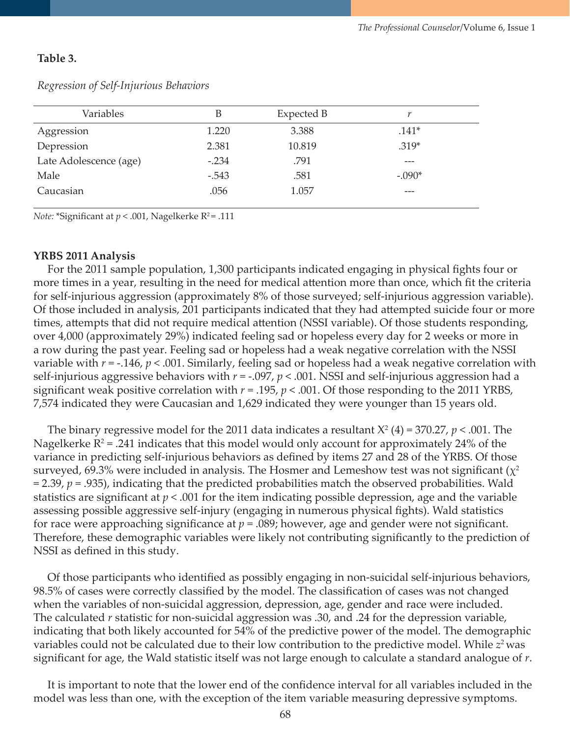#### **Table 3.**

| Variables              | B       | Expected B |          |
|------------------------|---------|------------|----------|
| Aggression             | 1.220   | 3.388      | $.141*$  |
| Depression             | 2.381   | 10.819     | $.319*$  |
| Late Adolescence (age) | $-.234$ | .791       |          |
| Male                   | $-.543$ | .581       | $-.090*$ |
| Caucasian              | .056    | 1.057      | ---      |
|                        |         |            |          |

#### *Regression of Self-Injurious Behaviors*

*Note:* \*Significant at  $p < .001$ , Nagelkerke R<sup>2</sup>= .111

#### **YRBS 2011 Analysis**

 For the 2011 sample population, 1,300 participants indicated engaging in physical fights four or more times in a year, resulting in the need for medical attention more than once, which fit the criteria for self-injurious aggression (approximately 8% of those surveyed; self-injurious aggression variable). Of those included in analysis, 201 participants indicated that they had attempted suicide four or more times, attempts that did not require medical attention (NSSI variable). Of those students responding, over 4,000 (approximately 29%) indicated feeling sad or hopeless every day for 2 weeks or more in a row during the past year. Feeling sad or hopeless had a weak negative correlation with the NSSI variable with *r* = -.146, *p* < .001. Similarly, feeling sad or hopeless had a weak negative correlation with self-injurious aggressive behaviors with *r* = -.097, *p* < .001. NSSI and self-injurious aggression had a significant weak positive correlation with  $r = .195$ ,  $p < .001$ . Of those responding to the 2011 YRBS, 7,574 indicated they were Caucasian and 1,629 indicated they were younger than 15 years old.

The binary regressive model for the 2011 data indicates a resultant  $X^2$  (4) = 370.27,  $p < .001$ . The Nagelkerke  $R^2$  = .241 indicates that this model would only account for approximately 24% of the variance in predicting self-injurious behaviors as defined by items 27 and 28 of the YRBS. Of those surveyed, 69.3% were included in analysis. The Hosmer and Lemeshow test was not significant ( $\chi^2$  $= 2.39$ ,  $p = .935$ ), indicating that the predicted probabilities match the observed probabilities. Wald statistics are significant at *p* < .001 for the item indicating possible depression, age and the variable assessing possible aggressive self-injury (engaging in numerous physical fights). Wald statistics for race were approaching significance at  $p = 0.089$ ; however, age and gender were not significant. Therefore, these demographic variables were likely not contributing significantly to the prediction of NSSI as defined in this study.

 Of those participants who identified as possibly engaging in non-suicidal self-injurious behaviors, 98.5% of cases were correctly classified by the model. The classification of cases was not changed when the variables of non-suicidal aggression, depression, age, gender and race were included. The calculated *r* statistic for non-suicidal aggression was .30, and .24 for the depression variable, indicating that both likely accounted for 54% of the predictive power of the model. The demographic variables could not be calculated due to their low contribution to the predictive model. While  $z^2$  was significant for age, the Wald statistic itself was not large enough to calculate a standard analogue of *r*.

 It is important to note that the lower end of the confidence interval for all variables included in the model was less than one, with the exception of the item variable measuring depressive symptoms.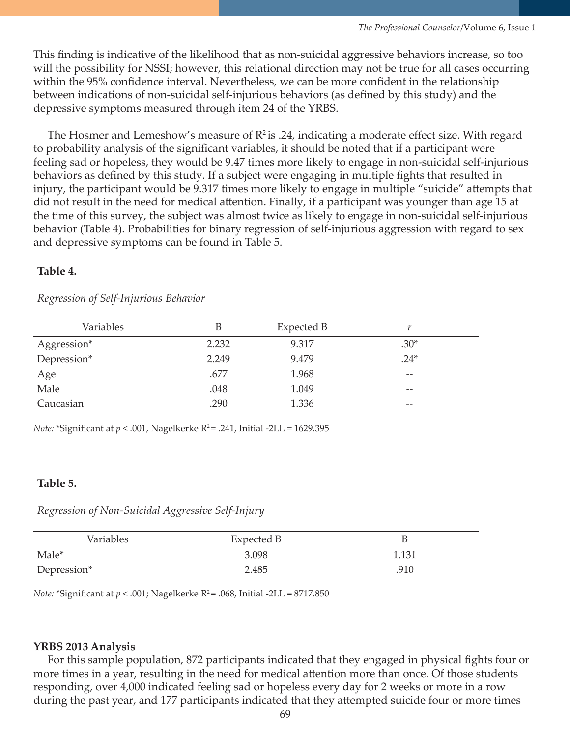This finding is indicative of the likelihood that as non-suicidal aggressive behaviors increase, so too will the possibility for NSSI; however, this relational direction may not be true for all cases occurring within the 95% confidence interval. Nevertheless, we can be more confident in the relationship between indications of non-suicidal self-injurious behaviors (as defined by this study) and the depressive symptoms measured through item 24 of the YRBS.

The Hosmer and Lemeshow's measure of  $\mathbb{R}^2$  is .24, indicating a moderate effect size. With regard to probability analysis of the significant variables, it should be noted that if a participant were feeling sad or hopeless, they would be 9.47 times more likely to engage in non-suicidal self-injurious behaviors as defined by this study. If a subject were engaging in multiple fights that resulted in injury, the participant would be 9.317 times more likely to engage in multiple "suicide" attempts that did not result in the need for medical attention. Finally, if a participant was younger than age 15 at the time of this survey, the subject was almost twice as likely to engage in non-suicidal self-injurious behavior (Table 4). Probabilities for binary regression of self-injurious aggression with regard to sex and depressive symptoms can be found in Table 5.

#### **Table 4.**

| Variables   | B     | Expected B |        |
|-------------|-------|------------|--------|
| Aggression* | 2.232 | 9.317      | $.30*$ |
| Depression* | 2.249 | 9.479      | $.24*$ |
| Age         | .677  | 1.968      | $- -$  |
| Male        | .048  | 1.049      | $- -$  |
| Caucasian   | .290  | 1.336      | $- -$  |

#### *Regression of Self-Injurious Behavior*

*Note:* \*Significant at  $p < .001$ , Nagelkerke R<sup>2</sup> = .241, Initial -2LL = 1629.395

#### **Table 5.**

*Regression of Non-Suicidal Aggressive Self-Injury*

| Variables   | Expected B | В     |
|-------------|------------|-------|
| Male*       | 3.098      | 1.131 |
| Depression* | 2.485      | .910  |

*Note:* \*Significant at  $p < .001$ ; Nagelkerke R<sup>2</sup> = .068, Initial -2LL = 8717.850

#### **YRBS 2013 Analysis**

 For this sample population, 872 participants indicated that they engaged in physical fights four or more times in a year, resulting in the need for medical attention more than once. Of those students responding, over 4,000 indicated feeling sad or hopeless every day for 2 weeks or more in a row during the past year, and 177 participants indicated that they attempted suicide four or more times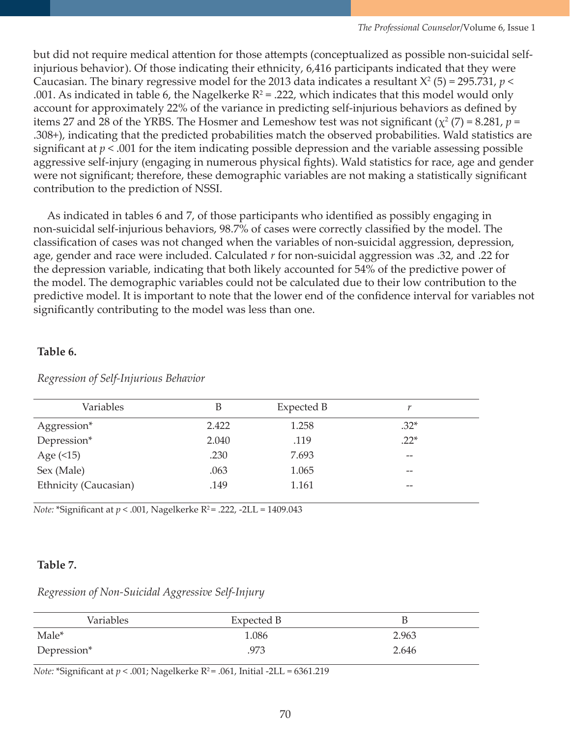but did not require medical attention for those attempts (conceptualized as possible non-suicidal selfinjurious behavior). Of those indicating their ethnicity, 6,416 participants indicated that they were Caucasian. The binary regressive model for the 2013 data indicates a resultant  $X^2$  (5) = 295.731,  $p$  < .001. As indicated in table 6, the Nagelkerke  $R^2$  = .222, which indicates that this model would only account for approximately 22% of the variance in predicting self-injurious behaviors as defined by items 27 and 28 of the YRBS. The Hosmer and Lemeshow test was not significant  $(\chi^2(7) = 8.281, p =$ .308+), indicating that the predicted probabilities match the observed probabilities. Wald statistics are significant at  $p < .001$  for the item indicating possible depression and the variable assessing possible aggressive self-injury (engaging in numerous physical fights). Wald statistics for race, age and gender were not significant; therefore, these demographic variables are not making a statistically significant contribution to the prediction of NSSI.

 As indicated in tables 6 and 7, of those participants who identified as possibly engaging in non-suicidal self-injurious behaviors, 98.7% of cases were correctly classified by the model. The classification of cases was not changed when the variables of non-suicidal aggression, depression, age, gender and race were included. Calculated *r* for non-suicidal aggression was .32, and .22 for the depression variable, indicating that both likely accounted for 54% of the predictive power of the model. The demographic variables could not be calculated due to their low contribution to the predictive model. It is important to note that the lower end of the confidence interval for variables not significantly contributing to the model was less than one.

## **Table 6.**

| Variables             | B     | Expected B |        |  |
|-----------------------|-------|------------|--------|--|
| Aggression*           | 2.422 | 1.258      | $.32*$ |  |
| Depression*           | 2.040 | .119       | $.22*$ |  |
| Age $($ 15 $)$        | .230  | 7.693      | $- -$  |  |
| Sex (Male)            | .063  | 1.065      | $- -$  |  |
| Ethnicity (Caucasian) | .149  | 1.161      | --     |  |
|                       |       |            |        |  |

*Regression of Self-Injurious Behavior*

*Note:* \*Significant at  $p < .001$ , Nagelkerke R<sup>2</sup> = .222, -2LL = 1409.043

## **Table 7.**

*Regression of Non-Suicidal Aggressive Self-Injury*

| Variables   | Expected B | В     |
|-------------|------------|-------|
| Male*       | 1.086      | 2.963 |
| Depression* | .973       | 2.646 |

*Note:* \*Significant at  $p < .001$ ; Nagelkerke R<sup>2</sup> = .061, Initial -2LL = 6361.219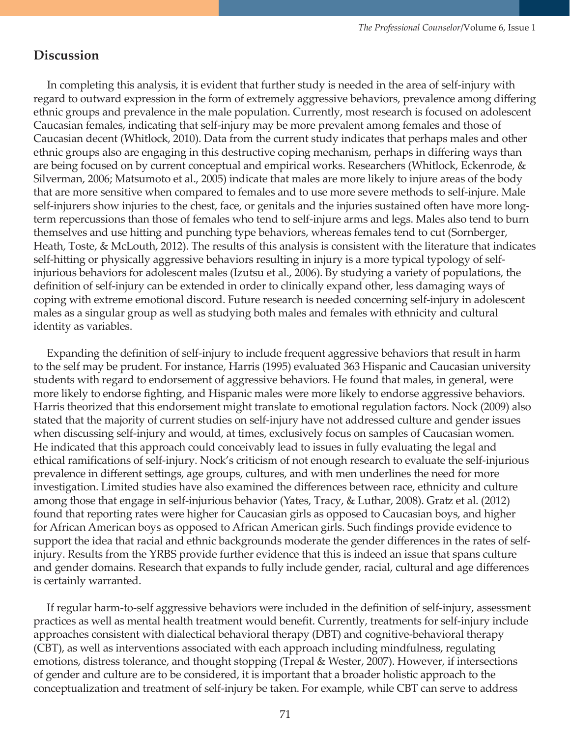## **Discussion**

 In completing this analysis, it is evident that further study is needed in the area of self-injury with regard to outward expression in the form of extremely aggressive behaviors, prevalence among differing ethnic groups and prevalence in the male population. Currently, most research is focused on adolescent Caucasian females, indicating that self-injury may be more prevalent among females and those of Caucasian decent (Whitlock, 2010). Data from the current study indicates that perhaps males and other ethnic groups also are engaging in this destructive coping mechanism, perhaps in differing ways than are being focused on by current conceptual and empirical works. Researchers (Whitlock, Eckenrode, & Silverman, 2006; Matsumoto et al., 2005) indicate that males are more likely to injure areas of the body that are more sensitive when compared to females and to use more severe methods to self-injure. Male self-injurers show injuries to the chest, face, or genitals and the injuries sustained often have more longterm repercussions than those of females who tend to self-injure arms and legs. Males also tend to burn themselves and use hitting and punching type behaviors, whereas females tend to cut (Sornberger, Heath, Toste, & McLouth, 2012). The results of this analysis is consistent with the literature that indicates self-hitting or physically aggressive behaviors resulting in injury is a more typical typology of selfinjurious behaviors for adolescent males (Izutsu et al., 2006). By studying a variety of populations, the definition of self-injury can be extended in order to clinically expand other, less damaging ways of coping with extreme emotional discord. Future research is needed concerning self-injury in adolescent males as a singular group as well as studying both males and females with ethnicity and cultural identity as variables.

 Expanding the definition of self-injury to include frequent aggressive behaviors that result in harm to the self may be prudent. For instance, Harris (1995) evaluated 363 Hispanic and Caucasian university students with regard to endorsement of aggressive behaviors. He found that males, in general, were more likely to endorse fighting, and Hispanic males were more likely to endorse aggressive behaviors. Harris theorized that this endorsement might translate to emotional regulation factors. Nock (2009) also stated that the majority of current studies on self-injury have not addressed culture and gender issues when discussing self-injury and would, at times, exclusively focus on samples of Caucasian women. He indicated that this approach could conceivably lead to issues in fully evaluating the legal and ethical ramifications of self-injury. Nock's criticism of not enough research to evaluate the self-injurious prevalence in different settings, age groups, cultures, and with men underlines the need for more investigation. Limited studies have also examined the differences between race, ethnicity and culture among those that engage in self-injurious behavior (Yates, Tracy, & Luthar, 2008). Gratz et al. (2012) found that reporting rates were higher for Caucasian girls as opposed to Caucasian boys, and higher for African American boys as opposed to African American girls. Such findings provide evidence to support the idea that racial and ethnic backgrounds moderate the gender differences in the rates of selfinjury. Results from the YRBS provide further evidence that this is indeed an issue that spans culture and gender domains. Research that expands to fully include gender, racial, cultural and age differences is certainly warranted.

 If regular harm-to-self aggressive behaviors were included in the definition of self-injury, assessment practices as well as mental health treatment would benefit. Currently, treatments for self-injury include approaches consistent with dialectical behavioral therapy (DBT) and cognitive-behavioral therapy (CBT), as well as interventions associated with each approach including mindfulness, regulating emotions, distress tolerance, and thought stopping (Trepal & Wester, 2007). However, if intersections of gender and culture are to be considered, it is important that a broader holistic approach to the conceptualization and treatment of self-injury be taken. For example, while CBT can serve to address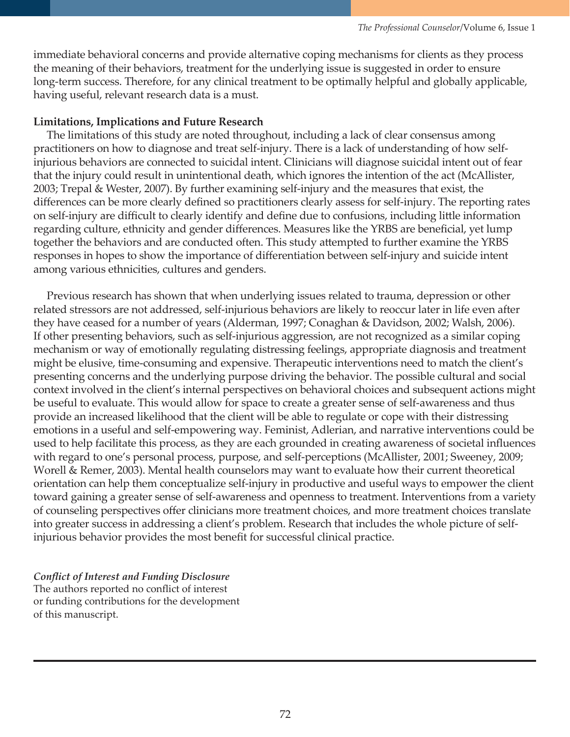immediate behavioral concerns and provide alternative coping mechanisms for clients as they process the meaning of their behaviors, treatment for the underlying issue is suggested in order to ensure long-term success. Therefore, for any clinical treatment to be optimally helpful and globally applicable, having useful, relevant research data is a must.

#### **Limitations, Implications and Future Research**

 The limitations of this study are noted throughout, including a lack of clear consensus among practitioners on how to diagnose and treat self-injury. There is a lack of understanding of how selfinjurious behaviors are connected to suicidal intent. Clinicians will diagnose suicidal intent out of fear that the injury could result in unintentional death, which ignores the intention of the act (McAllister, 2003; Trepal & Wester, 2007). By further examining self-injury and the measures that exist, the differences can be more clearly defined so practitioners clearly assess for self-injury. The reporting rates on self-injury are difficult to clearly identify and define due to confusions, including little information regarding culture, ethnicity and gender differences. Measures like the YRBS are beneficial, yet lump together the behaviors and are conducted often. This study attempted to further examine the YRBS responses in hopes to show the importance of differentiation between self-injury and suicide intent among various ethnicities, cultures and genders.

 Previous research has shown that when underlying issues related to trauma, depression or other related stressors are not addressed, self-injurious behaviors are likely to reoccur later in life even after they have ceased for a number of years (Alderman, 1997; Conaghan & Davidson, 2002; Walsh, 2006). If other presenting behaviors, such as self-injurious aggression, are not recognized as a similar coping mechanism or way of emotionally regulating distressing feelings, appropriate diagnosis and treatment might be elusive, time-consuming and expensive. Therapeutic interventions need to match the client's presenting concerns and the underlying purpose driving the behavior. The possible cultural and social context involved in the client's internal perspectives on behavioral choices and subsequent actions might be useful to evaluate. This would allow for space to create a greater sense of self-awareness and thus provide an increased likelihood that the client will be able to regulate or cope with their distressing emotions in a useful and self-empowering way. Feminist, Adlerian, and narrative interventions could be used to help facilitate this process, as they are each grounded in creating awareness of societal influences with regard to one's personal process, purpose, and self-perceptions (McAllister, 2001; Sweeney, 2009; Worell & Remer, 2003). Mental health counselors may want to evaluate how their current theoretical orientation can help them conceptualize self-injury in productive and useful ways to empower the client toward gaining a greater sense of self-awareness and openness to treatment. Interventions from a variety of counseling perspectives offer clinicians more treatment choices, and more treatment choices translate into greater success in addressing a client's problem. Research that includes the whole picture of selfinjurious behavior provides the most benefit for successful clinical practice.

#### *Conflict of Interest and Funding Disclosure*

The authors reported no conflict of interest or funding contributions for the development of this manuscript.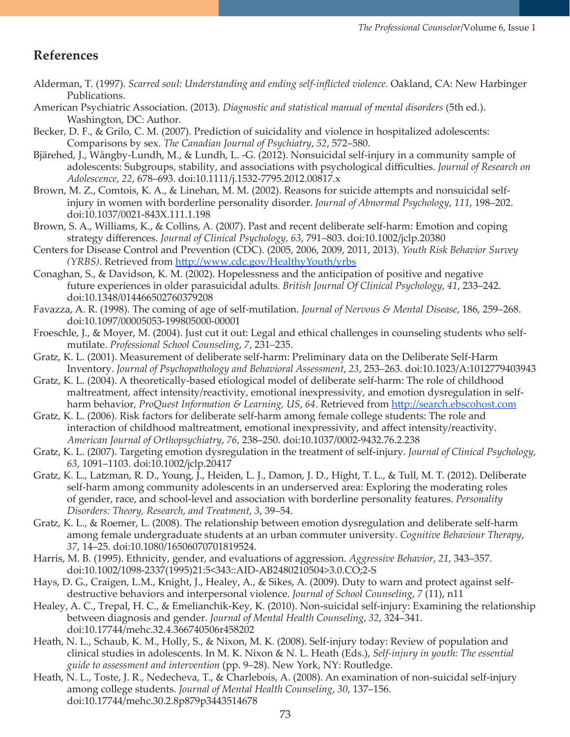## **References**

- Alderman, T. (1997). *Scarred soul: Understanding and ending self-inflicted violence.* Oakland, CA: New Harbinger Publications.
- American Psychiatric Association. (2013). *Diagnostic and statistical manual of mental disorders* (5th ed.). Washington, DC: Author.
- Becker, D. F., & Grilo, C. M. (2007). Prediction of suicidality and violence in hospitalized adolescents: Comparisons by sex. *The Canadian Journal of Psychiatry*, *52*, 572–580.
- Bjärehed, J., Wångby-Lundh, M., & Lundh, L. -G. (2012). Nonsuicidal self-injury in a community sample of adolescents: Subgroups, stability, and associations with psychological difficulties. *Journal of Research on Adolescence*, *22*, 678–693. doi:10.1111/j.1532-7795.2012.00817.x
- Brown, M. Z., Comtois, K. A., & Linehan, M. M. (2002). Reasons for suicide attempts and nonsuicidal selfinjury in women with borderline personality disorder. *Journal of Abnormal Psychology*, *111*, 198–202. doi:10.1037/0021-843X.111.1.198
- Brown, S. A., Williams, K., & Collins, A. (2007). Past and recent deliberate self-harm: Emotion and coping strategy differences. *Journal of Clinical Psychology*, *63*, 791–803. doi:10.1002/jclp.20380
- Centers for Disease Control and Prevention (CDC). (2005, 2006, 2009, 2011, 2013). *Youth Risk Behavior Survey (YRBS)*. Retrieved from <http://www.cdc.gov/HealthyYouth/yrbs>
- Conaghan, S., & Davidson, K. M. (2002). Hopelessness and the anticipation of positive and negative future experiences in older parasuicidal adults. *British Journal Of Clinical Psychology*, *41*, 233–242. doi:10.1348/014466502760379208
- Favazza, A. R. (1998). The coming of age of self-mutilation. *Journal of Nervous & Mental Disease*, 186, 259–268. doi:10.1097/00005053-199805000-00001
- Froeschle, J., & Moyer, M. (2004). Just cut it out: Legal and ethical challenges in counseling students who selfmutilate. *Professional School Counseling*, *7*, 231–235.
- Gratz, K. L. (2001). Measurement of deliberate self-harm: Preliminary data on the Deliberate Self-Harm Inventory. *Journal of Psychopathology and Behavioral Assessment*, *23*, 253–263. doi:10.1023/A:1012779403943
- Gratz, K. L. (2004). A theoretically-based etiological model of deliberate self-harm: The role of childhood maltreatment, affect intensity/reactivity, emotional inexpressivity, and emotion dysregulation in selfharm behavior, *ProQuest Information & Learning, US*, *64*. Retrieved from [http://search.ebscohost.com](http://search.ebscohost.com/)
- Gratz, K. L. (2006). Risk factors for deliberate self-harm among female college students: The role and interaction of childhood maltreatment, emotional inexpressivity, and affect intensity/reactivity. *American Journal of Orthopsychiatry*, *76*, 238–250. doi:10.1037/0002-9432.76.2.238
- Gratz, K. L. (2007). Targeting emotion dysregulation in the treatment of self-injury. *Journal of Clinical Psychology*, *63*, 1091–1103. doi:10.1002/jclp.20417
- Gratz, K. L., Latzman, R. D., Young, J., Heiden, L. J., Damon, J. D., Hight, T. L., & Tull, M. T. (2012). Deliberate self-harm among community adolescents in an underserved area: Exploring the moderating roles of gender, race, and school-level and association with borderline personality features. *Personality Disorders: Theory, Research, and Treatment*, *3*, 39–54.
- Gratz, K. L., & Roemer, L. (2008). The relationship between emotion dysregulation and deliberate self-harm among female undergraduate students at an urban commuter university. *Cognitive Behaviour Therapy*, *37*, 14–25. doi:10.1080/16506070701819524.
- Harris, M. B. (1995). Ethnicity, gender, and evaluations of aggression. *Aggressive Behavior*, *21*, 343–357. doi:10.1002/1098-2337(1995)21:5<343::AID-AB2480210504>3.0.CO;2-S
- Hays, D. G., Craigen, L.M., Knight, J., Healey, A., & Sikes, A. (2009). Duty to warn and protect against selfdestructive behaviors and interpersonal violence. *Journal of School Counseling*, *7* (11), n11
- Healey, A. C., Trepal, H. C., & Emelianchik-Key, K. (2010). Non-suicidal self-injury: Examining the relationship between diagnosis and gender. *Journal of Mental Health Counseling*, *32*, 324–341. doi:10.17744/mehc.32.4.366740506r458202
- Heath, N. L., Schaub, K. M., Holly, S., & Nixon, M. K. (2008). Self-injury today: Review of population and clinical studies in adolescents. In M. K. Nixon & N. L. Heath (Eds.), *Self-injury in youth: The essential guide to assessment and intervention* (pp. 9–28). New York, NY: Routledge.
- Heath, N. L., Toste, J. R., Nedecheva, T., & Charlebois, A. (2008). An examination of non-suicidal self-injury among college students. *Journal of Mental Health Counseling*, *30*, 137–156. doi:10.17744/mehc.30.2.8p879p3443514678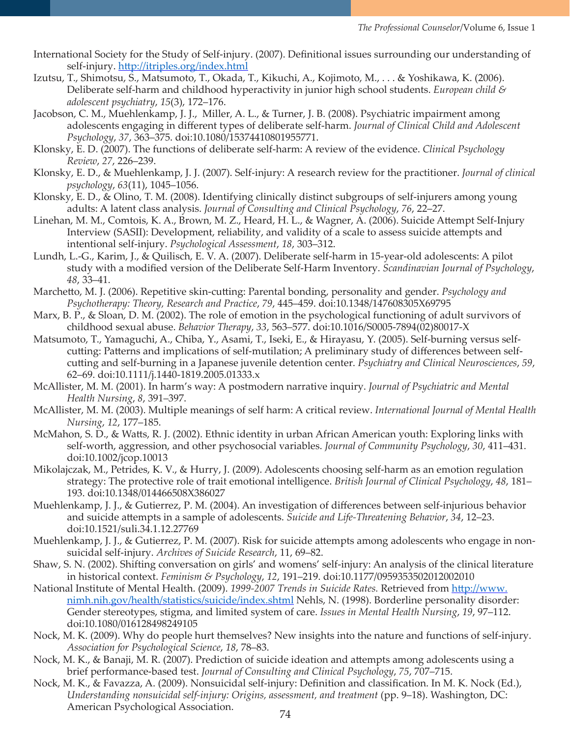- International Society for the Study of Self-injury. (2007). Definitional issues surrounding our understanding of self-injury.<http://itriples.org/index.html>
- Izutsu, T., Shimotsu, S., Matsumoto, T., Okada, T., Kikuchi, A., Kojimoto, M., . . . & Yoshikawa, K. (2006). Deliberate self-harm and childhood hyperactivity in junior high school students. *European child & adolescent psychiatry*, *15*(3), 172–176.
- Jacobson, C. M., Muehlenkamp, J. J., Miller, A. L., & Turner, J. B. (2008). Psychiatric impairment among adolescents engaging in different types of deliberate self-harm. *Journal of Clinical Child and Adolescent Psychology*, *37*, 363–375. doi:10.1080/15374410801955771.
- Klonsky, E. D. (2007). The functions of deliberate self-harm: A review of the evidence. *Clinical Psychology Review*, *27*, 226–239.
- Klonsky, E. D., & Muehlenkamp, J. J. (2007). Self‐injury: A research review for the practitioner. *Journal of clinical psychology*, *63*(11), 1045–1056.
- Klonsky, E. D., & Olino, T. M. (2008). Identifying clinically distinct subgroups of self-injurers among young adults: A latent class analysis. *Journal of Consulting and Clinical Psychology*, *76*, 22–27.
- Linehan, M. M., Comtois, K. A., Brown, M. Z., Heard, H. L., & Wagner, A. (2006). Suicide Attempt Self-Injury Interview (SASII): Development, reliability, and validity of a scale to assess suicide attempts and intentional self-injury. *Psychological Assessment*, *18*, 303–312.
- Lundh, L.-G., Karim, J., & Quilisch, E. V. A. (2007). Deliberate self-harm in 15-year-old adolescents: A pilot study with a modified version of the Deliberate Self-Harm Inventory. *Scandinavian Journal of Psychology*, *48*, 33–41.
- Marchetto, M. J. (2006). Repetitive skin-cutting: Parental bonding, personality and gender. *Psychology and Psychotherapy: Theory, Research and Practice*, *79*, 445–459. doi:10.1348/147608305X69795
- Marx, B. P., & Sloan, D. M. (2002). The role of emotion in the psychological functioning of adult survivors of childhood sexual abuse. *Behavior Therapy*, *33*, 563–577. doi:10.1016/S0005-7894(02)80017-X
- Matsumoto, T., Yamaguchi, A., Chiba, Y., Asami, T., Iseki, E., & Hirayasu, Y. (2005). Self-burning versus selfcutting: Patterns and implications of self-mutilation; A preliminary study of differences between selfcutting and self-burning in a Japanese juvenile detention center. *Psychiatry and Clinical Neurosciences*, *59*, 62–69. doi:10.1111/j.1440-1819.2005.01333.x
- McAllister, M. M. (2001). In harm's way: A postmodern narrative inquiry. *Journal of Psychiatric and Mental Health Nursing*, *8*, 391–397.
- McAllister, M. M. (2003). Multiple meanings of self harm: A critical review. *International Journal of Mental Health Nursing*, *12*, 177–185.
- McMahon, S. D., & Watts, R. J. (2002). Ethnic identity in urban African American youth: Exploring links with self-worth, aggression, and other psychosocial variables. *Journal of Community Psychology*, *30*, 411–431. doi:10.1002/jcop.10013
- Mikolajczak, M., Petrides, K. V., & Hurry, J. (2009). Adolescents choosing self-harm as an emotion regulation strategy: The protective role of trait emotional intelligence. *British Journal of Clinical Psychology*, *48*, 181– 193. doi:10.1348/014466508X386027
- Muehlenkamp, J. J., & Gutierrez, P. M. (2004). An investigation of differences between self-injurious behavior and suicide attempts in a sample of adolescents. *Suicide and Life-Threatening Behavior*, *34*, 12–23. doi:10.1521/suli.34.1.12.27769
- Muehlenkamp, J. J., & Gutierrez, P. M. (2007). Risk for suicide attempts among adolescents who engage in nonsuicidal self-injury. *Archives of Suicide Research*, 11, 69–82.
- Shaw, S. N. (2002). Shifting conversation on girls' and womens' self-injury: An analysis of the clinical literature in historical context. *Feminism & Psychology*, *12*, 191–219. doi:10.1177/0959353502012002010
- National Institute of Mental Health. (2009). *1999-2007 Trends in Suicide Rates.* Retrieved from [http://www.](http://www.nimh.nih.gov/health/statistics/suicide/index.shtml) [nimh.nih.gov/health/statistics/suicide/index.shtml](http://www.nimh.nih.gov/health/statistics/suicide/index.shtml) Nehls, N. (1998). Borderline personality disorder: Gender stereotypes, stigma, and limited system of care. *Issues in Mental Health Nursing*, *19*, 97–112. doi:10.1080/016128498249105
- Nock, M. K. (2009). Why do people hurt themselves? New insights into the nature and functions of self-injury. *Association for Psychological Science*, *18*, 78–83.
- Nock, M. K., & Banaji, M. R. (2007). Prediction of suicide ideation and attempts among adolescents using a brief performance-based test. *Journal of Consulting and Clinical Psychology*, *75*, 707–715.
- Nock, M. K., & Favazza, A. (2009). Nonsuicidal self-injury: Definition and classification. In M. K. Nock (Ed.), *Understanding nonsuicidal self-injury: Origins, assessment, and treatment (pp. 9–18). Washington, DC:* American Psychological Association.